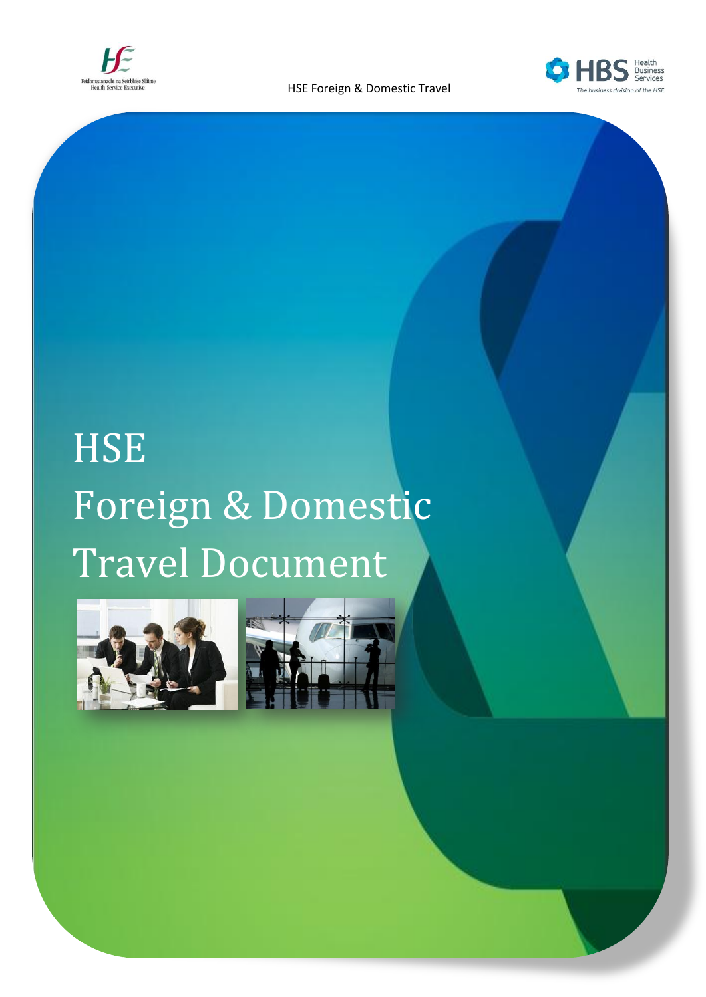



# **HSE** Foreign & Domestic Travel Document



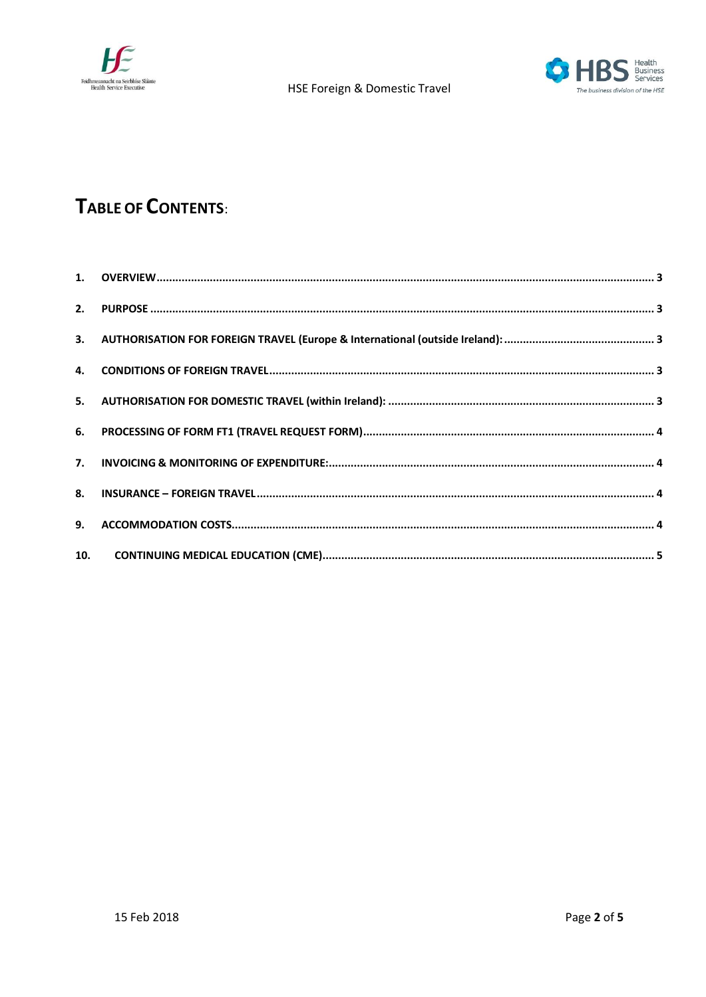



## TABLE OF CONTENTS: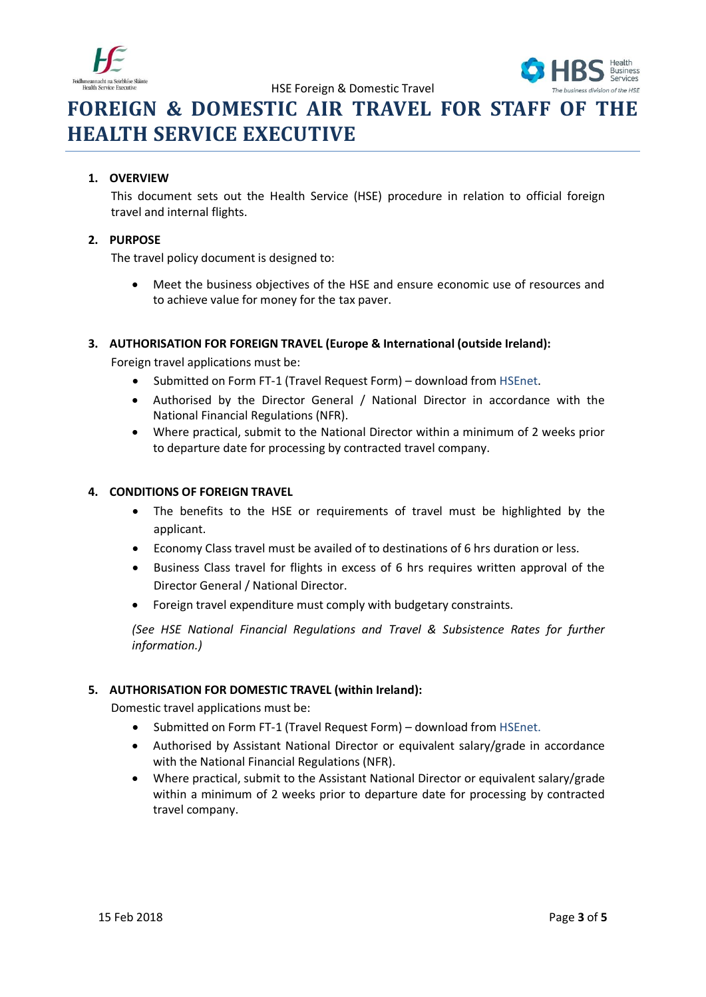



**FOREIGN & DOMESTIC AIR TRAVEL FOR STAFF OF THE HEALTH SERVICE EXECUTIVE**

### <span id="page-2-0"></span>**1. OVERVIEW**

This document sets out the Health Service (HSE) procedure in relation to official foreign travel and internal flights.

#### <span id="page-2-1"></span>**2. PURPOSE**

The travel policy document is designed to:

 Meet the business objectives of the HSE and ensure economic use of resources and to achieve value for money for the tax paver.

#### <span id="page-2-2"></span>**3. AUTHORISATION FOR FOREIGN TRAVEL (Europe & International (outside Ireland):**

Foreign travel applications must be:

- Submitted on Form FT-1 (Travel Request Form) download from HSEnet.
- Authorised by the Director General / National Director in accordance with the National Financial Regulations (NFR).
- Where practical, submit to the National Director within a minimum of 2 weeks prior to departure date for processing by contracted travel company.

#### <span id="page-2-3"></span>**4. CONDITIONS OF FOREIGN TRAVEL**

- The benefits to the HSE or requirements of travel must be highlighted by the applicant.
- Economy Class travel must be availed of to destinations of 6 hrs duration or less.
- Business Class travel for flights in excess of 6 hrs requires written approval of the Director General / National Director.
- Foreign travel expenditure must comply with budgetary constraints.

*(See HSE National Financial Regulations and Travel & Subsistence Rates for further information.)*

#### <span id="page-2-4"></span>**5. AUTHORISATION FOR DOMESTIC TRAVEL (within Ireland):**

Domestic travel applications must be:

- Submitted on Form FT-1 (Travel Request Form) download from HSEnet.
- Authorised by Assistant National Director or equivalent salary/grade in accordance with the National Financial Regulations (NFR).
- Where practical, submit to the Assistant National Director or equivalent salary/grade within a minimum of 2 weeks prior to departure date for processing by contracted travel company.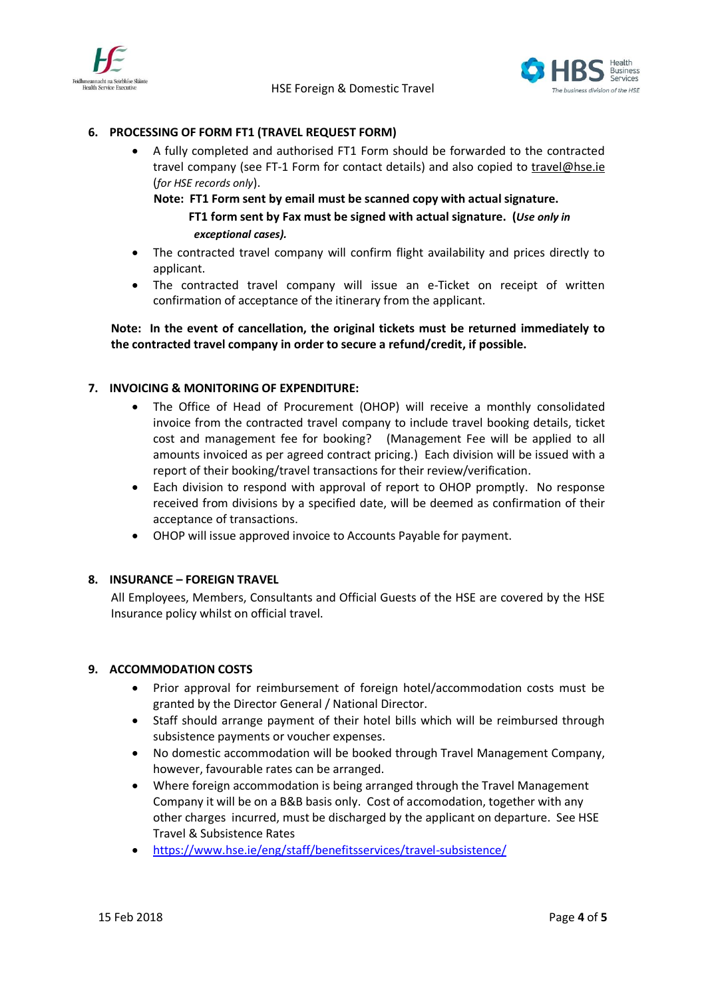



#### <span id="page-3-0"></span>**6. PROCESSING OF FORM FT1 (TRAVEL REQUEST FORM)**

 A fully completed and authorised FT1 Form should be forwarded to the contracted travel company (see FT-1 Form for contact details) and also copied to [travel@hse.ie](mailto:travel@hse.ie) (*for HSE records only*).

**Note: FT1 Form sent by email must be scanned copy with actual signature. FT1 form sent by Fax must be signed with actual signature. (***Use only in exceptional cases).*

- The contracted travel company will confirm flight availability and prices directly to applicant.
- The contracted travel company will issue an e-Ticket on receipt of written confirmation of acceptance of the itinerary from the applicant.

**Note: In the event of cancellation, the original tickets must be returned immediately to the contracted travel company in order to secure a refund/credit, if possible.**

#### <span id="page-3-1"></span>**7. INVOICING & MONITORING OF EXPENDITURE:**

- The Office of Head of Procurement (OHOP) will receive a monthly consolidated invoice from the contracted travel company to include travel booking details, ticket cost and management fee for booking? (Management Fee will be applied to all amounts invoiced as per agreed contract pricing.)Each division will be issued with a report of their booking/travel transactions for their review/verification.
- Each division to respond with approval of report to OHOP promptly. No response received from divisions by a specified date, will be deemed as confirmation of their acceptance of transactions.
- OHOP will issue approved invoice to Accounts Payable for payment.

#### <span id="page-3-2"></span>**8. INSURANCE – FOREIGN TRAVEL**

All Employees, Members, Consultants and Official Guests of the HSE are covered by the HSE Insurance policy whilst on official travel.

#### <span id="page-3-3"></span>**9. ACCOMMODATION COSTS**

- Prior approval for reimbursement of foreign hotel/accommodation costs must be granted by the Director General / National Director.
- Staff should arrange payment of their hotel bills which will be reimbursed through subsistence payments or voucher expenses.
- No domestic accommodation will be booked through Travel Management Company, however, favourable rates can be arranged.
- Where foreign accommodation is being arranged through the Travel Management Company it will be on a B&B basis only. Cost of accomodation, together with any other charges incurred, must be discharged by the applicant on departure. See HSE Travel & Subsistence Rates
- <https://www.hse.ie/eng/staff/benefitsservices/travel-subsistence/>